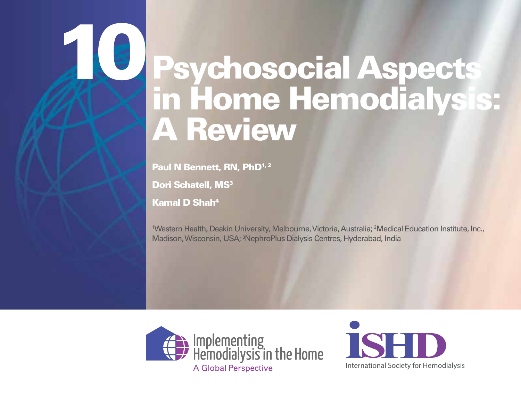Paul N Bennett, RN, PhD<sup>1,2</sup>

Dori Schatell, MS<sup>3</sup>

Kamal D Shah4

10

1 Western Health, Deakin University, Melbourne, Victoria, Australia; 2 Medical Education Institute, Inc., Madison, Wisconsin, USA; 3 NephroPlus Dialysis Centres, Hyderabad, India



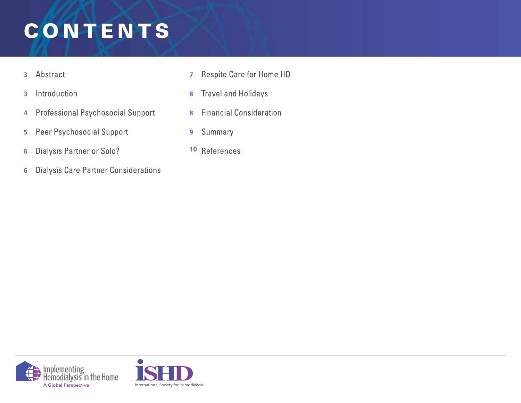### **PSYCHOLD ASPECTS IN HOME CONTROL** CONTENTS

- Abstract **3**
- Introduction **3**
- **Professional Psychosocial Support 4**
- Peer Psychosocial Support **5**
- **Dialysis Partner or Solo? 6**
- **Dialysis Care Partner Considerations 6**
- **Respite Care for Home HD 7**
- **Travel and Holidays 8**
- **Financial Consideration 8**
- Summary **9**
- **10**



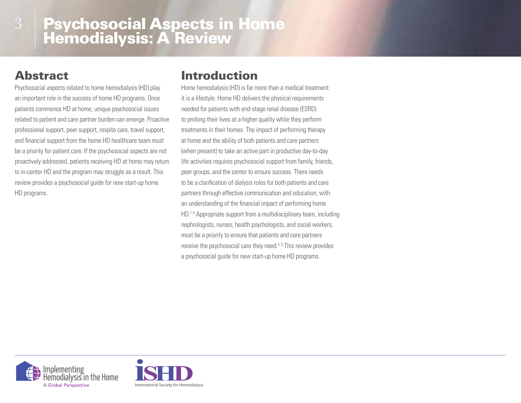### Abstract

3

Psychosocial aspects related to home hemodialysis (HD) play an important role in the success of home HD programs. Once patients commence HD at home, unique psychosocial issues related to patient and care partner burden can emerge. Proactive professional support, peer support, respite care, travel support, and financial support from the home HD healthcare team must be a priority for patient care. If the psychosocial aspects are not proactively addressed, patients receiving HD at home may return to in-center HD and the program may struggle as a result. This review provides a psychosocial guide for new start-up home HD programs.

### Introduction

Home hemodialysis (HD) is far more than a medical treatment: it is a lifestyle. Home HD delivers the physical requirements needed for patients with end-stage renal disease (ESRD) to prolong their lives at a higher quality while they perform treatments in their homes. The impact of performing therapy at home and the ability of both patients and care partners (when present) to take an active part in productive day-to-day life activities requires psychosocial support from family, friends, peer groups, and the center to ensure success. There needs to be a clarification of dialysis roles for both patients and care partners through effective communication and education, with an understanding of the financial impact of performing home HD.<sup>1-4</sup> Appropriate support from a multidisciplinary team, including nephrologists, nurses, health psychologists, and social workers, must be a priority to ensure that patients and care partners receive the psychosocial care they need.<sup>3,5</sup> This review provides a psychosocial guide for new start-up home HD programs.



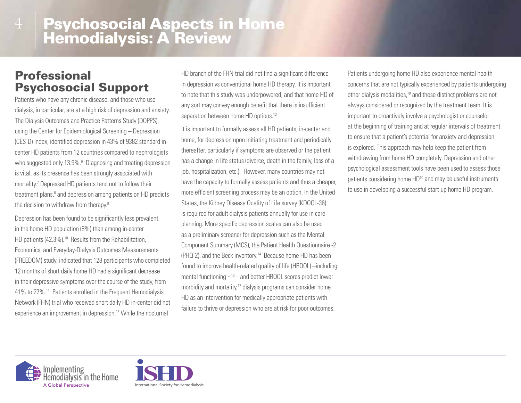### Professional Psychosocial Support

Patients who have any chronic disease, and those who use dialysis, in particular, are at a high risk of depression and anxiety. The Dialysis Outcomes and Practice Patterns Study (DOPPS), using the Center for Epidemiological Screening – Depression (CES-D) index, identified depression in 43% of 9382 standard incenter HD patients from 12 countries compared to nephrologists who suggested only 13.9%.<sup>6</sup> Diagnosing and treating depression is vital, as its presence has been strongly associated with mortality.<sup>7</sup> Depressed HD patients tend not to follow their treatment plans,<sup>8</sup> and depression among patients on HD predicts the decision to withdraw from therapy.9

Depression has been found to be significantly less prevalent in the home HD population (8%) than among in-center HD patients (42.3%).<sup>10</sup> Results from the Rehabilitation, Economics, and Everyday-Dialysis Outcomes Measurements (FREEDOM) study, indicated that 128 participants who completed 12 months of short daily home HD had a significant decrease in their depressive symptoms over the course of the study, from 41% to 27%.11 Patients enrolled in the Frequent Hemodialysis Network (FHN) trial who received short daily HD in-center did not experience an improvement in depression.<sup>12</sup> While the nocturnal

HD branch of the FHN trial did not find a significant difference in depression vs conventional home HD therapy, it is important to note that this study was underpowered, and that home HD of any sort may convey enough benefit that there is insufficient separation between home HD options.<sup>13</sup>

It is important to formally assess all HD patients, in-center and home, for depression upon initiating treatment and periodically thereafter, particularly if symptoms are observed or the patient has a change in life status (divorce, death in the family, loss of a job, hospitalization, etc.). However, many countries may not have the capacity to formally assess patients and thus a cheaper, more efficient screening process may be an option. In the United States, the Kidney Disease Quality of Life survey (KDQOL-36) is required for adult dialysis patients annually for use in care planning. More specific depression scales can also be used as a preliminary screener for depression such as the Mental Component Summary (MCS), the Patient Health Questionnaire -2 (PHQ-2), and the Beck inventory.14 Because home HD has been found to improve health-related quality of life (HRQOL) –including mental functioning<sup>15, 16</sup> – and better HRQOL scores predict lower morbidity and mortality,<sup>17</sup> dialysis programs can consider home HD as an intervention for medically appropriate patients with failure to thrive or depression who are at risk for poor outcomes.

Patients undergoing home HD also experience mental health concerns that are not typically experienced by patients undergoing other dialysis modalities,<sup>18</sup> and these distinct problems are not always considered or recognized by the treatment team. It is important to proactively involve a psychologist or counselor at the beginning of training and at regular intervals of treatment to ensure that a patient's potential for anxiety and depression is explored. This approach may help keep the patient from withdrawing from home HD completely. Depression and other psychological assessment tools have been used to assess those patients considering home HD<sup>10</sup> and may be useful instruments to use in developing a successful start-up home HD program.



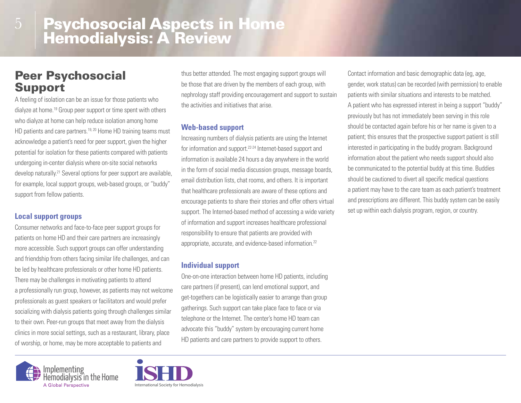### Peer Psychosocial Support

5

A feeling of isolation can be an issue for those patients who dialyze at home.19 Group peer support or time spent with others who dialyze at home can help reduce isolation among home HD patients and care partners.<sup>19, 20</sup> Home HD training teams must acknowledge a patient's need for peer support, given the higher potential for isolation for these patients compared with patients undergoing in-center dialysis where on-site social networks develop naturally.<sup>21</sup> Several options for peer support are available, for example, local support groups, web-based groups, or "buddy" support from fellow patients.

#### **Local support groups**

Consumer networks and face-to-face peer support groups for patients on home HD and their care partners are increasingly more accessible. Such support groups can offer understanding and friendship from others facing similar life challenges, and can be led by healthcare professionals or other home HD patients. There may be challenges in motivating patients to attend a professionally run group, however, as patients may not welcome professionals as guest speakers or facilitators and would prefer socializing with dialysis patients going through challenges similar to their own. Peer-run groups that meet away from the dialysis clinics in more social settings, such as a restaurant, library, place of worship, or home, may be more acceptable to patients and

thus better attended. The most engaging support groups will be those that are driven by the members of each group, with nephrology staff providing encouragement and support to sustain the activities and initiatives that arise.

#### **Web-based support**

Increasing numbers of dialysis patients are using the Internet for information and support.22-24 Internet-based support and information is available 24 hours a day anywhere in the world in the form of social media discussion groups, message boards, email distribution lists, chat rooms, and others. It is important that healthcare professionals are aware of these options and encourage patients to share their stories and offer others virtual support. The Interned-based method of accessing a wide variety of information and support increases healthcare professional responsibility to ensure that patients are provided with appropriate, accurate, and evidence-based information.22

#### **Individual support**

One-on-one interaction between home HD patients, including care partners (if present), can lend emotional support, and get-togethers can be logistically easier to arrange than group gatherings. Such support can take place face to face or via telephone or the Internet. The center's home HD team can advocate this "buddy" system by encouraging current home HD patients and care partners to provide support to others.

Implementing<br>Hemodialysis in the Home **Global Perspective** 



Contact information and basic demographic data (eg, age, gender, work status) can be recorded (with permission) to enable patients with similar situations and interests to be matched. A patient who has expressed interest in being a support "buddy" previously but has not immediately been serving in this role should be contacted again before his or her name is given to a patient; this ensures that the prospective support patient is still interested in participating in the buddy program. Background information about the patient who needs support should also be communicated to the potential buddy at this time. Buddies should be cautioned to divert all specific medical questions a patient may have to the care team as each patient's treatment and prescriptions are different. This buddy system can be easily set up within each dialysis program, region, or country.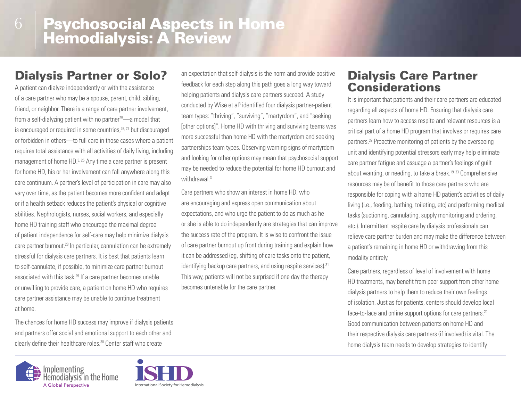### Dialysis Partner or Solo?

A patient can dialyze independently or with the assistance of a care partner who may be a spouse, parent, child, sibling, friend, or neighbor. There is a range of care partner involvement, from a self-dialyzing patient with no partner $25$ —a model that is encouraged or required in some countries,<sup>26, 27</sup> but discouraged or forbidden in others—to full care in those cases where a patient requires total assistance with all activities of daily living, including management of home HD.<sup>3, 25</sup> Any time a care partner is present for home HD, his or her involvement can fall anywhere along this care continuum. A partner's level of participation in care may also vary over time, as the patient becomes more confident and adept or if a health setback reduces the patient's physical or cognitive abilities. Nephrologists, nurses, social workers, and especially home HD training staff who encourage the maximal degree of patient independence for self-care may help minimize dialysis care partner burnout.28 In particular, cannulation can be extremely stressful for dialysis care partners. It is best that patients learn to self-cannulate, if possible, to minimize care partner burnout associated with this task.29 If a care partner becomes unable or unwilling to provide care, a patient on home HD who requires care partner assistance may be unable to continue treatment at home.

The chances for home HD success may improve if dialysis patients and partners offer social and emotional support to each other and clearly define their healthcare roles.<sup>30</sup> Center staff who create





Care partners who show an interest in home HD, who are encouraging and express open communication about expectations, and who urge the patient to do as much as he or she is able to do independently are strategies that can improve the success rate of the program. It is wise to confront the issue of care partner burnout up front during training and explain how it can be addressed (eg, shifting of care tasks onto the patient, identifying backup care partners, and using respite services).<sup>31</sup> This way, patients will not be surprised if one day the therapy becomes untenable for the care partner.

### Dialysis Care Partner **Considerations**

It is important that patients and their care partners are educated regarding all aspects of home HD. Ensuring that dialysis care partners learn how to access respite and relevant resources is a critical part of a home HD program that involves or requires care partners.<sup>32</sup> Proactive monitoring of patients by the overseeing unit and identifying potential stressors early may help eliminate care partner fatigue and assuage a partner's feelings of guilt about wanting, or needing, to take a break.19, 33 Comprehensive resources may be of benefit to those care partners who are responsible for coping with a home HD patient's activities of daily living (i.e., feeding, bathing, toileting, etc) and performing medical tasks (suctioning, cannulating, supply monitoring and ordering, etc.). Intermittent respite care by dialysis professionals can relieve care partner burden and may make the difference between a patient's remaining in home HD or withdrawing from this modality entirely.

Care partners, regardless of level of involvement with home HD treatments, may benefit from peer support from other home dialysis partners to help them to reduce their own feelings of isolation. Just as for patients, centers should develop local face-to-face and online support options for care partners.<sup>20</sup> Good communication between patients on home HD and their respective dialysis care partners (if involved) is vital. The home dialysis team needs to develop strategies to identify

International Society for Hemodialysis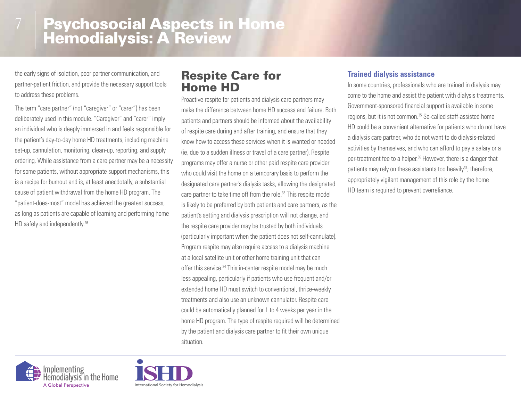the early signs of isolation, poor partner communication, and partner-patient friction, and provide the necessary support tools to address these problems.

The term "care partner" (not "caregiver" or "carer") has been deliberately used in this module. "Caregiver" and "carer" imply an individual who is deeply immersed in and feels responsible for the patient's day-to-day home HD treatments, including machine set-up, cannulation, monitoring, clean-up, reporting, and supply ordering. While assistance from a care partner may be a necessity for some patients, without appropriate support mechanisms, this is a recipe for burnout and is, at least anecdotally, a substantial cause of patient withdrawal from the home HD program. The "patient-does-most" model has achieved the greatest success, as long as patients are capable of learning and performing home HD safely and independently.<sup>26</sup>

### Respite Care for Home HD

Proactive respite for patients and dialysis care partners may make the difference between home HD success and failure. Both patients and partners should be informed about the availability of respite care during and after training, and ensure that they know how to access these services when it is wanted or needed (ie, due to a sudden illness or travel of a care partner). Respite programs may offer a nurse or other paid respite care provider who could visit the home on a temporary basis to perform the designated care partner's dialysis tasks, allowing the designated care partner to take time off from the role.<sup>33</sup> This respite model is likely to be preferred by both patients and care partners, as the patient's setting and dialysis prescription will not change, and the respite care provider may be trusted by both individuals (particularly important when the patient does not self-cannulate). Program respite may also require access to a dialysis machine at a local satellite unit or other home training unit that can offer this service.<sup>34</sup> This in-center respite model may be much less appealing, particularly if patients who use frequent and/or extended home HD must switch to conventional, thrice-weekly treatments and also use an unknown cannulator. Respite care could be automatically planned for 1 to 4 weeks per year in the home HD program. The type of respite required will be determined by the patient and dialysis care partner to fit their own unique situation.

#### **Trained dialysis assistance**

In some countries, professionals who are trained in dialysis may come to the home and assist the patient with dialysis treatments. Government-sponsored financial support is available in some regions, but it is not common.35 So-called staff-assisted home HD could be a convenient alternative for patients who do not have a dialysis care partner, who do not want to do dialysis-related activities by themselves, and who can afford to pay a salary or a per-treatment fee to a helper.<sup>36</sup> However, there is a danger that patients may rely on these assistants too heavily $37$ ; therefore, appropriately vigilant management of this role by the home HD team is required to prevent overreliance.



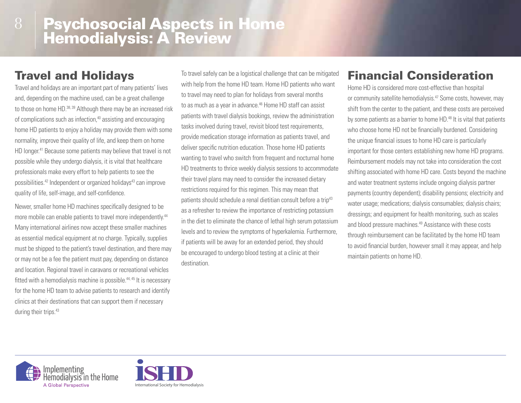### Travel and Holidays

Travel and holidays are an important part of many patients' lives and, depending on the machine used, can be a great challenge to those on home HD.<sup>38, 39</sup> Although there may be an increased risk of complications such as infection,<sup>40</sup> assisting and encouraging home HD patients to enjoy a holiday may provide them with some normality, improve their quality of life, and keep them on home HD longer.<sup>41</sup> Because some patients may believe that travel is not possible while they undergo dialysis, it is vital that healthcare professionals make every effort to help patients to see the possibilities.<sup>42</sup> Independent or organized holidays<sup>43</sup> can improve quality of life, self-image, and self-confidence.

Newer, smaller home HD machines specifically designed to be more mobile can enable patients to travel more independently.<sup>44</sup> Many international airlines now accept these smaller machines as essential medical equipment at no charge. Typically, supplies must be shipped to the patient's travel destination, and there may or may not be a fee the patient must pay, depending on distance and location. Regional travel in caravans or recreational vehicles fitted with a hemodialysis machine is possible.<sup>44, 45</sup> It is necessary for the home HD team to advise patients to research and identify clinics at their destinations that can support them if necessary during their trips.<sup>43</sup>

To travel safely can be a logistical challenge that can be mitigated with help from the home HD team. Home HD patients who want to travel may need to plan for holidays from several months to as much as a year in advance.<sup>46</sup> Home HD staff can assist patients with travel dialysis bookings, review the administration tasks involved during travel, revisit blood test requirements, provide medication storage information as patients travel, and deliver specific nutrition education. Those home HD patients wanting to travel who switch from frequent and nocturnal home HD treatments to thrice weekly dialysis sessions to accommodate their travel plans may need to consider the increased dietary restrictions required for this regimen. This may mean that patients should schedule a renal dietitian consult before a trip<sup>43</sup> as a refresher to review the importance of restricting potassium in the diet to eliminate the chance of lethal high serum potassium levels and to review the symptoms of hyperkalemia. Furthermore, if patients will be away for an extended period, they should be encouraged to undergo blood testing at a clinic at their destination.

### Financial Consideration

Home HD is considered more cost-effective than hospital or community satellite hemodialysis.<sup>47</sup> Some costs, however, may shift from the center to the patient, and these costs are perceived by some patients as a barrier to home HD.<sup>48</sup> It is vital that patients who choose home HD not be financially burdened. Considering the unique financial issues to home HD care is particularly important for those centers establishing new home HD programs. Reimbursement models may not take into consideration the cost shifting associated with home HD care. Costs beyond the machine and water treatment systems include ongoing dialysis partner payments (country dependent); disability pensions; electricity and water usage; medications; dialysis consumables; dialysis chairs; dressings; and equipment for health monitoring, such as scales and blood pressure machines.<sup>49</sup> Assistance with these costs through reimbursement can be facilitated by the home HD team to avoid financial burden, however small it may appear, and help maintain patients on home HD.



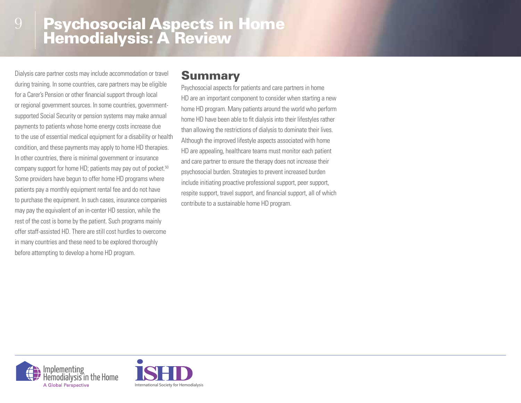Dialysis care partner costs may include accommodation or travel during training. In some countries, care partners may be eligible for a Carer's Pension or other financial support through local or regional government sources. In some countries, governmentsupported Social Security or pension systems may make annual payments to patients whose home energy costs increase due to the use of essential medical equipment for a disability or health condition, and these payments may apply to home HD therapies. In other countries, there is minimal government or insurance company support for home HD; patients may pay out of pocket.<sup>50</sup> Some providers have begun to offer home HD programs where patients pay a monthly equipment rental fee and do not have to purchase the equipment. In such cases, insurance companies may pay the equivalent of an in-center HD session, while the rest of the cost is borne by the patient. Such programs mainly offer staff-assisted HD. There are still cost hurdles to overcome in many countries and these need to be explored thoroughly before attempting to develop a home HD program.

### Summary

Psychosocial aspects for patients and care partners in home HD are an important component to consider when starting a new home HD program. Many patients around the world who perform home HD have been able to fit dialysis into their lifestyles rather than allowing the restrictions of dialysis to dominate their lives. Although the improved lifestyle aspects associated with home HD are appealing, healthcare teams must monitor each patient and care partner to ensure the therapy does not increase their psychosocial burden. Strategies to prevent increased burden include initiating proactive professional support, peer support, respite support, travel support, and financial support, all of which contribute to a sustainable home HD program.



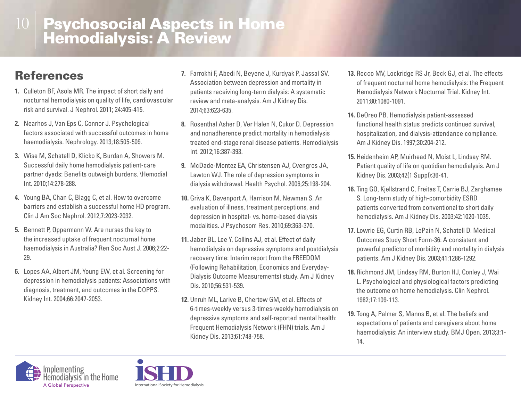### **References**

- **1.** Culleton BF, Asola MR. The impact of short daily and nocturnal hemodialysis on quality of life, cardiovascular risk and survival. J Nephrol. 2011; 24:405-415.
- **2.** Nearhos J, Van Eps C, Connor J. Psychological factors associated with successful outcomes in home haemodialysis. Nephrology. 2013;18:505-509.
- **3.** Wise M, Schatell D, Klicko K, Burdan A, Showers M. Successful daily home hemodialysis patient-care partner dyads: Benefits outweigh burdens. \Hemodial Int. 2010;14:278-288.
- **4.** Young BA, Chan C, Blagg C, et al. How to overcome barriers and establish a successful home HD program. Clin J Am Soc Nephrol. 2012;7:2023-2032.
- **5.** Bennett P, Oppermann W. Are nurses the key to the increased uptake of frequent nocturnal home haemodialysis in Australia? Ren Soc Aust J. 2006;2:22- 29.
- **6.** Lopes AA, Albert JM, Young EW, et al. Screening for depression in hemodialysis patients: Associations with diagnosis, treatment, and outcomes in the DOPPS. Kidney Int. 2004;66:2047-2053.
- **7.** Farrokhi F, Abedi N, Beyene J, Kurdyak P, Jassal SV. Association between depression and mortality in patients receiving long-term dialysis: A systematic review and meta-analysis. Am J Kidney Dis. 2014;63:623-635.
- **8.** Rosenthal Asher D, Ver Halen N, Cukor D. Depression and nonadherence predict mortality in hemodialysis treated end-stage renal disease patients. Hemodialysis Int. 2012;16:387-393.
- **9.** McDade-Montez EA, Christensen AJ, Cvengros JA, Lawton WJ. The role of depression symptoms in dialysis withdrawal. Health Psychol. 2006;25:198-204.
- **10.** Griva K, Davenport A, Harrison M, Newman S. An evaluation of illness, treatment perceptions, and depression in hospital- vs. home-based dialysis modalities. J Psychosom Res. 2010;69:363-370.
- **11.** Jaber BL, Lee Y, Collins AJ, et al. Effect of daily hemodialysis on depressive symptoms and postdialysis recovery time: Interim report from the FREEDOM (Following Rehabilitation, Economics and Everyday-Dialysis Outcome Measurements) study. Am J Kidney Dis. 2010;56:531-539.
- **12.** Unruh ML, Larive B, Chertow GM, et al. Effects of 6-times-weekly versus 3-times-weekly hemodialysis on depressive symptoms and self-reported mental health: Frequent Hemodialysis Network (FHN) trials. Am J Kidney Dis. 2013;61:748-758.
- **13.** Rocco MV, Lockridge RS Jr, Beck GJ, et al. The effects of frequent nocturnal home hemodialysis: the Frequent Hemodialysis Network Nocturnal Trial. Kidney Int. 2011;80:1080-1091.
- **14.** DeOreo PB. Hemodialysis patient-assessed functional health status predicts continued survival, hospitalization, and dialysis-attendance compliance. Am J Kidney Dis. 1997;30:204-212.
- **15.** Heidenheim AP, Muirhead N, Moist L, Lindsay RM. Patient quality of life on quotidian hemodialysis. Am J Kidney Dis. 2003;42(1 Suppl):36-41.
- **16.** Ting GO, Kjellstrand C, Freitas T, Carrie BJ, Zarghamee S. Long-term study of high-comorbidity ESRD patients converted from conventional to short daily hemodialysis. Am J Kidney Dis. 2003;42:1020-1035.
- **17.** Lowrie EG, Curtin RB, LePain N, Schatell D. Medical Outcomes Study Short Form-36: A consistent and powerful predictor of morbidity and mortality in dialysis patients. Am J Kidney Dis. 2003;41:1286-1292.
- **18.** Richmond JM, Lindsay RM, Burton HJ, Conley J, Wai L. Psychological and physiological factors predicting the outcome on home hemodialysis. Clin Nephrol. 1982;17:109-113.
- **19.** Tong A, Palmer S, Manns B, et al. The beliefs and expectations of patients and caregivers about home haemodialysis: An interview study. BMJ Open. 2013;3:1- 14.



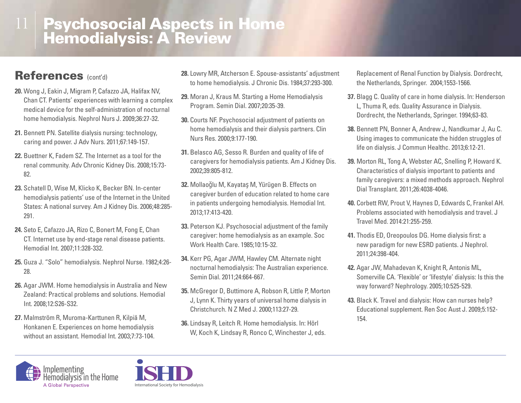### References (cont'd)

- **20.** Wong J, Eakin J, Migram P, Cafazzo JA, Halifax NV, Chan CT. Patients' experiences with learning a complex medical device for the self-administration of nocturnal home hemodialysis. Nephrol Nurs J. 2009;36:27-32.
- **21.** Bennett PN. Satellite dialysis nursing: technology, caring and power. J Adv Nurs. 2011;67:149-157.
- **22.** Buettner K, Fadem SZ. The Internet as a tool for the renal community. Adv Chronic Kidney Dis. 2008;15:73- 82.
- **23.** Schatell D, Wise M, Klicko K, Becker BN. In-center hemodialysis patients' use of the Internet in the United States: A national survey. Am J Kidney Dis. 2006;48:285- 291.
- **24.** Seto E, Cafazzo JA, Rizo C, Bonert M, Fong E, Chan CT. Internet use by end-stage renal disease patients. Hemodial Int. 2007;11:328-332.
- **25.** Guza J. "Solo" hemodialysis. Nephrol Nurse. 1982;4:26- 28.
- **26.** Agar JWM. Home hemodialysis in Australia and New Zealand: Practical problems and solutions. Hemodial Int. 2008;12:S26-S32.
- **27.** Malmström R, Muroma-Karttunen R, Kilpiä M, Honkanen E. Experiences on home hemodialysis without an assistant. Hemodial Int. 2003;7:73-104.
- **28.** Lowry MR, Atcherson E. Spouse-assistants' adjustment to home hemodialysis. J Chronic Dis. 1984;37:293-300.
- **29.** Moran J, Kraus M. Starting a Home Hemodialysis Program. Semin Dial. 2007;20:35-39.
- **30.** Courts NF. Psychosocial adjustment of patients on home hemodialysis and their dialysis partners. Clin Nurs Res. 2000;9:177-190.
- **31.** Belasco AG, Sesso R. Burden and quality of life of caregivers for hemodialysis patients. Am J Kidney Dis. 2002;39:805-812.
- **32.** Mollaoğlu M, Kayataş M, Yürügen B. Effects on caregiver burden of education related to home care in patients undergoing hemodialysis. Hemodial Int. 2013;17:413-420.
- **33.** Peterson KJ. Psychosocial adjustment of the family caregiver: home hemodialysis as an example. Soc Work Health Care. 1985;10:15-32.
- **34.** Kerr PG, Agar JWM, Hawley CM. Alternate night nocturnal hemodialysis: The Australian experience. Semin Dial. 2011;24:664-667.
- **35.** McGregor D, Buttimore A, Robson R, Little P, Morton J, Lynn K. Thirty years of universal home dialysis in Christchurch. N Z Med J. 2000;113:27-29.
- **36.** Lindsay R, Leitch R. Home hemodialysis. In: Hörl W, Koch K, Lindsay R, Ronco C, Winchester J, eds.

Replacement of Renal Function by Dialysis. Dordrecht, the Netherlands, Springer. 2004;1553-1566.

- **37.** Blagg C. Quality of care in home dialysis. In: Henderson L, Thuma R, eds. Quality Assurance in Dialysis. Dordrecht, the Netherlands, Springer. 1994;63-83.
- **38.** Bennett PN, Bonner A, Andrew J, Nandkumar J, Au C. Using images to communicate the hidden struggles of life on dialysis. J Commun Healthc. 2013;6:12-21.
- **39.** Morton RL, Tong A, Webster AC, Snelling P, Howard K. Characteristics of dialysis important to patients and family caregivers: a mixed methods approach. Nephrol Dial Transplant. 2011;26:4038-4046.
- **40.** Corbett RW, Prout V, Haynes D, Edwards C, Frankel AH. Problems associated with hemodialysis and travel. J Travel Med. 2014:21:255-259.
- **41.** Thodis ED, Oreopoulos DG. Home dialysis first: a new paradigm for new ESRD patients. J Nephrol. 2011;24:398-404.
- **42.** Agar JW, Mahadevan K, Knight R, Antonis ML, Somerville CA. 'Flexible' or 'lifestyle' dialysis: Is this the way forward? Nephrology. 2005;10:525-529.
- **43.** Black K. Travel and dialysis: How can nurses help? Educational supplement. Ren Soc Aust J. 2009;5:152- 154.